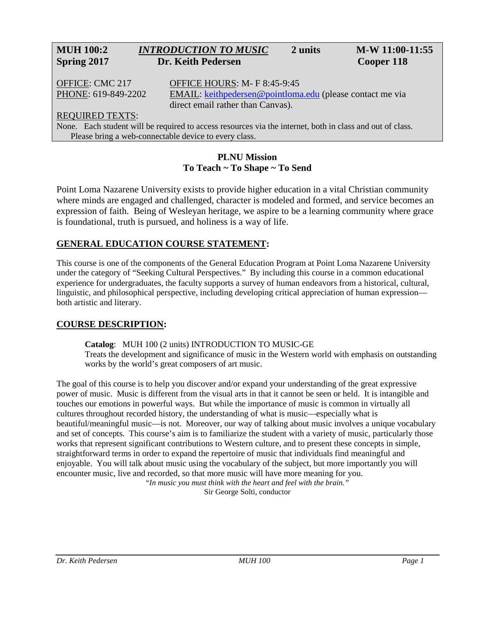# **MUH 100:2** *INTRODUCTION TO MUSIC* **2 units M-W 11:00-11:55 Spring 2017 Dr. Keith Pedersen Cooper 118**

OFFICE: CMC 217 OFFICE HOURS: M- F 8:45-9:45 PHONE: 619-849-2202 EMAIL: [keithpedersen@pointloma.edu](mailto:keithpedersen@pointloma.edu) (please contact me via direct email rather than Canvas).

### REQUIRED TEXTS:

None. Each student will be required to access resources via the internet, both in class and out of class. Please bring a web-connectable device to every class.

### **PLNU Mission To Teach ~ To Shape ~ To Send**

Point Loma Nazarene University exists to provide higher education in a vital Christian community where minds are engaged and challenged, character is modeled and formed, and service becomes an expression of faith. Being of Wesleyan heritage, we aspire to be a learning community where grace is foundational, truth is pursued, and holiness is a way of life.

# **GENERAL EDUCATION COURSE STATEMENT:**

This course is one of the components of the General Education Program at Point Loma Nazarene University under the category of "Seeking Cultural Perspectives." By including this course in a common educational experience for undergraduates, the faculty supports a survey of human endeavors from a historical, cultural, linguistic, and philosophical perspective, including developing critical appreciation of human expression both artistic and literary.

## **COURSE DESCRIPTION:**

**Catalog**: MUH 100 (2 units) INTRODUCTION TO MUSIC-GE Treats the development and significance of music in the Western world with emphasis on outstanding works by the world's great composers of art music.

The goal of this course is to help you discover and/or expand your understanding of the great expressive power of music. Music is different from the visual arts in that it cannot be seen or held. It is intangible and touches our emotions in powerful ways. But while the importance of music is common in virtually all cultures throughout recorded history, the understanding of what is music—especially what is beautiful/meaningful music—is not. Moreover, our way of talking about music involves a unique vocabulary and set of concepts. This course's aim is to familiarize the student with a variety of music, particularly those works that represent significant contributions to Western culture, and to present these concepts in simple, straightforward terms in order to expand the repertoire of music that individuals find meaningful and enjoyable. You will talk about music using the vocabulary of the subject, but more importantly you will encounter music, live and recorded, so that more music will have more meaning for you.

*"In music you must think with the heart and feel with the brain."* Sir George Solti, conductor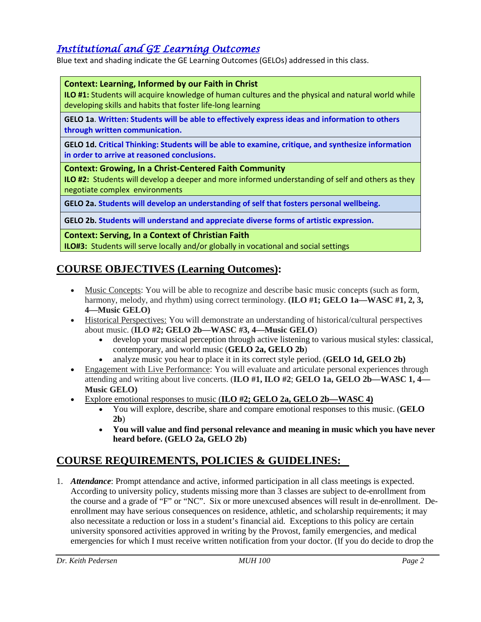# *Institutional and GE Learning Outcomes*

Blue text and shading indicate the GE Learning Outcomes (GELOs) addressed in this class.

### **Context: Learning, Informed by our Faith in Christ**

**ILO #1:** Students will acquire knowledge of human cultures and the physical and natural world while developing skills and habits that foster life-long learning

**GELO 1a**. **Written: Students will be able to effectively express ideas and information to others through written communication.**

**GELO 1d. Critical Thinking: Students will be able to examine, critique, and synthesize information in order to arrive at reasoned conclusions.**

**Context: Growing, In a Christ-Centered Faith Community**

**ILO #2:** Students will develop a deeper and more informed understanding of self and others as they negotiate complex environments

**GELO 2a. Students will develop an understanding of self that fosters personal wellbeing.** 

**GELO 2b. Students will understand and appreciate diverse forms of artistic expression.** 

**Context: Serving, In a Context of Christian Faith**

**ILO#3:** Students will serve locally and/or globally in vocational and social settings

# **COURSE OBJECTIVES (Learning Outcomes):**

- Music Concepts: You will be able to recognize and describe basic music concepts (such as form, harmony, melody, and rhythm) using correct terminology. **(ILO #1; GELO 1a—WASC #1, 2, 3, 4—Music GELO)**
- Historical Perspectives: You will demonstrate an understanding of historical/cultural perspectives about music. (**ILO #2; GELO 2b—WASC #3, 4—Music GELO**)
	- develop your musical perception through active listening to various musical styles: classical, contemporary, and world music (**GELO 2a, GELO 2b**)
	- analyze music you hear to place it in its correct style period. (**GELO 1d, GELO 2b)**
- Engagement with Live Performance: You will evaluate and articulate personal experiences through attending and writing about live concerts. (**ILO #1, ILO #2**; **GELO 1a, GELO 2b—WASC 1, 4— Music GELO)**
- Explore emotional responses to music (**ILO #2; GELO 2a, GELO 2b—WASC 4)**
	- You will explore, describe, share and compare emotional responses to this music. (**GELO 2b**)
	- **You will value and find personal relevance and meaning in music which you have never heard before. (GELO 2a, GELO 2b)**

# **COURSE REQUIREMENTS, POLICIES & GUIDELINES:**

1. *Attendance*: Prompt attendance and active, informed participation in all class meetings is expected. According to university policy, students missing more than 3 classes are subject to de-enrollment from the course and a grade of "F" or "NC". Six or more unexcused absences will result in de-enrollment. Deenrollment may have serious consequences on residence, athletic, and scholarship requirements; it may also necessitate a reduction or loss in a student's financial aid. Exceptions to this policy are certain university sponsored activities approved in writing by the Provost, family emergencies, and medical emergencies for which I must receive written notification from your doctor. (If you do decide to drop the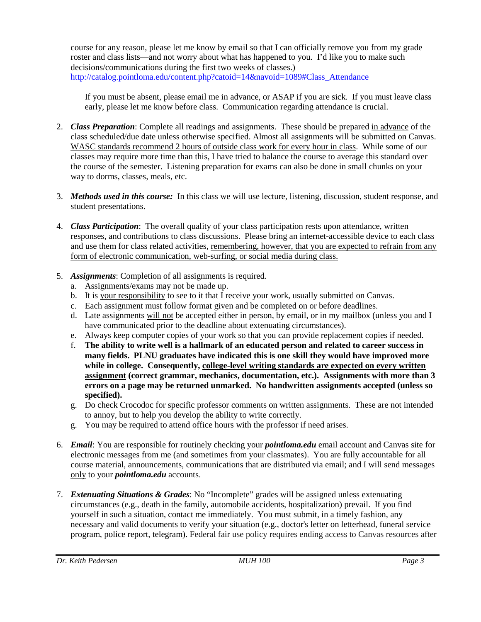course for any reason, please let me know by email so that I can officially remove you from my grade roster and class lists—and not worry about what has happened to you. I'd like you to make such decisions/communications during the first two weeks of classes.) [http://catalog.pointloma.edu/content.php?catoid=14&navoid=1089#Class\\_Attendance](http://catalog.pointloma.edu/content.php?catoid=14&navoid=1089#Class_Attendance)

If you must be absent, please email me in advance, or ASAP if you are sick. If you must leave class early, please let me know before class. Communication regarding attendance is crucial.

- 2. *Class Preparation*: Complete all readings and assignments. These should be prepared in advance of the class scheduled/due date unless otherwise specified. Almost all assignments will be submitted on Canvas. WASC standards recommend 2 hours of outside class work for every hour in class. While some of our classes may require more time than this, I have tried to balance the course to average this standard over the course of the semester. Listening preparation for exams can also be done in small chunks on your way to dorms, classes, meals, etc.
- 3. *Methods used in this course:* In this class we will use lecture, listening, discussion, student response, and student presentations.
- 4. *Class Participation*: The overall quality of your class participation rests upon attendance, written responses, and contributions to class discussions. Please bring an internet-accessible device to each class and use them for class related activities, remembering, however, that you are expected to refrain from any form of electronic communication, web-surfing, or social media during class.
- 5. *Assignments*: Completion of all assignments is required.
	- a. Assignments/exams may not be made up.
	- b. It is your responsibility to see to it that I receive your work, usually submitted on Canvas.
	- c. Each assignment must follow format given and be completed on or before deadlines.
	- d. Late assignments will not be accepted either in person, by email, or in my mailbox (unless you and I have communicated prior to the deadline about extenuating circumstances).
	- e. Always keep computer copies of your work so that you can provide replacement copies if needed.
	- f. **The ability to write well is a hallmark of an educated person and related to career success in many fields. PLNU graduates have indicated this is one skill they would have improved more while in college. Consequently, college-level writing standards are expected on every written assignment (correct grammar, mechanics, documentation, etc.). Assignments with more than 3 errors on a page may be returned unmarked. No handwritten assignments accepted (unless so specified).**
	- g. Do check Crocodoc for specific professor comments on written assignments. These are not intended to annoy, but to help you develop the ability to write correctly.
	- g. You may be required to attend office hours with the professor if need arises.
- 6. *Email*: You are responsible for routinely checking your *pointloma.edu* email account and Canvas site for electronic messages from me (and sometimes from your classmates). You are fully accountable for all course material, announcements, communications that are distributed via email; and I will send messages only to your *pointloma.edu* accounts.
- 7. *Extenuating Situations & Grades*: No "Incomplete" grades will be assigned unless extenuating circumstances (e.g., death in the family, automobile accidents, hospitalization) prevail. If you find yourself in such a situation, contact me immediately. You must submit, in a timely fashion, any necessary and valid documents to verify your situation (e.g., doctor's letter on letterhead, funeral service program, police report, telegram). Federal fair use policy requires ending access to Canvas resources after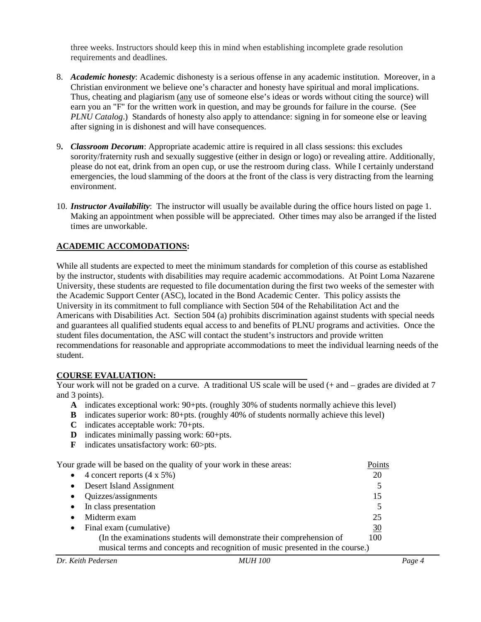three weeks. Instructors should keep this in mind when establishing incomplete grade resolution requirements and deadlines.

- 8. *Academic honesty*: Academic dishonesty is a serious offense in any academic institution. Moreover, in a Christian environment we believe one's character and honesty have spiritual and moral implications. Thus, cheating and plagiarism (any use of someone else's ideas or words without citing the source) will earn you an "F" for the written work in question, and may be grounds for failure in the course. (See *PLNU Catalog*.) Standards of honesty also apply to attendance: signing in for someone else or leaving after signing in is dishonest and will have consequences.
- 9**.** *Classroom Decorum*: Appropriate academic attire is required in all class sessions: this excludes sorority/fraternity rush and sexually suggestive (either in design or logo) or revealing attire. Additionally, please do not eat, drink from an open cup, or use the restroom during class. While I certainly understand emergencies, the loud slamming of the doors at the front of the class is very distracting from the learning environment.
- 10. *Instructor Availability*: The instructor will usually be available during the office hours listed on page 1. Making an appointment when possible will be appreciated. Other times may also be arranged if the listed times are unworkable.

# **ACADEMIC ACCOMODATIONS:**

While all students are expected to meet the minimum standards for completion of this course as established by the instructor, students with disabilities may require academic accommodations. At Point Loma Nazarene University, these students are requested to file documentation during the first two weeks of the semester with the Academic Support Center (ASC), located in the Bond Academic Center. This policy assists the University in its commitment to full compliance with Section 504 of the Rehabilitation Act and the Americans with Disabilities Act. Section 504 (a) prohibits discrimination against students with special needs and guarantees all qualified students equal access to and benefits of PLNU programs and activities. Once the student files documentation, the ASC will contact the student's instructors and provide written recommendations for reasonable and appropriate accommodations to meet the individual learning needs of the student.

## **COURSE EVALUATION:**

Your work will not be graded on a curve. A traditional US scale will be used (+ and – grades are divided at 7 and 3 points).

- **A** indicates exceptional work: 90+pts. (roughly 30% of students normally achieve this level)
- **B** indicates superior work: 80+pts. (roughly 40% of students normally achieve this level)
- **C** indicates acceptable work: 70+pts.
- **D** indicates minimally passing work: 60+pts.
- **F** indicates unsatisfactory work: 60>pts.

| Your grade will be based on the quality of your work in these areas:          | Points         |
|-------------------------------------------------------------------------------|----------------|
| 4 concert reports $(4 \times 5\%)$<br>$\bullet$                               | 20             |
| Desert Island Assignment<br>$\bullet$                                         |                |
| Quizzes/assignments<br>$\bullet$                                              | 15             |
| In class presentation<br>$\bullet$                                            |                |
| Midterm exam                                                                  | 25             |
| Final exam (cumulative)<br>$\bullet$                                          | $\frac{30}{5}$ |
| (In the examinations students will demonstrate their comprehension of         | 100            |
| musical terms and concepts and recognition of music presented in the course.) |                |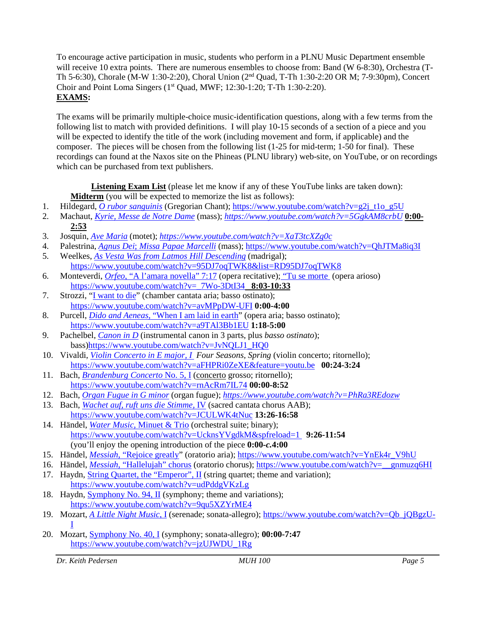To encourage active participation in music, students who perform in a PLNU Music Department ensemble will receive 10 extra points. There are numerous ensembles to choose from: Band (W 6-8:30), Orchestra (T-Th 5-6:30), Chorale (M-W 1:30-2:20), Choral Union (2nd Quad, T-Th 1:30-2:20 OR M; 7-9:30pm), Concert Choir and Point Loma Singers (1st Quad, MWF; 12:30-1:20; T-Th 1:30-2:20). **EXAMS:**

The exams will be primarily multiple-choice music-identification questions, along with a few terms from the following list to match with provided definitions. I will play 10-15 seconds of a section of a piece and you will be expected to identify the title of the work (including movement and form, if applicable) and the composer. The pieces will be chosen from the following list (1-25 for mid-term; 1-50 for final). These recordings can found at the Naxos site on the Phineas (PLNU library) web-site, on YouTube, or on recordings which can be purchased from text publishers.

**Listening Exam List** (please let me know if any of these YouTube links are taken down): **Midterm** (you will be expected to memorize the list as follows):

- 1. Hildegard, *[O rubor sanguinis](https://www.youtube.com/watch?v=g2j_t1o_g5U)* (Gregorian Chant); [https://www.youtube.com/watch?v=g2j\\_t1o\\_g5U](https://www.youtube.com/watch?v=g2j_t1o_g5U)
- 2. Machaut, *[Kyrie, Messe de Notre Dame](https://www.youtube.com/watch?v=5GgkAM8crbU)* (mass); *<https://www.youtube.com/watch?v=5GgkAM8crbU>* **0:00- 2:53**
- 3. Josquin, *[Ave Maria](https://www.youtube.com/watch?v=XaT3tcXZg0c)* (motet); *<https://www.youtube.com/watch?v=XaT3tcXZg0c>*
- 4. Palestrina, *Agnus Dei*; *[Missa Papae Marcelli](https://www.youtube.com/watch?v=QhJTMa8iq3I)* (mass); <https://www.youtube.com/watch?v=QhJTMa8iq3I>
- 5. Weelkes, *[As Vesta Was from Latmos Hill Descending](https://www.youtube.com/watch?v=95DJ7oqTWK8&list=RD95DJ7oqTWK8)* (madrigal); <https://www.youtube.com/watch?v=95DJ7oqTWK8&list=RD95DJ7oqTWK8>
- 6. Monteverdi, *Orfeo*, ["A l'amara novella" 7:17](https://www.youtube.com/watch?v=_7Wo-3DtI34) (opera recitative); "Tu se morte (opera arioso) [https://www.youtube.com/watch?v=\\_7Wo-3DtI34](https://www.youtube.com/watch?v=_7Wo-3DtI34) **8:03-10:33**
- 7. Strozzi, ["I want to die"](https://www.youtube.com/watch?v=avMPpDW-UFI) (chamber cantata aria; basso ostinato); <https://www.youtube.com/watch?v=avMPpDW-UFI> **0:00-4:00**
- 8. Purcell, *Dido and Aeneas*[, "When I am laid in earth"](https://www.youtube.com/watch?v=a9TAl3Bb1EU) (opera aria; basso ostinato); <https://www.youtube.com/watch?v=a9TAl3Bb1EU> **1:18-5:00**
- 9. Pachelbel, *[Canon in D](https://youtu.be/JvNQLJ1_HQ0)* (instrumental canon in 3 parts, plus *basso ostinato*); bass[\)https://www.youtube.com/watch?v=JvNQLJ1\\_HQ0](https://www.youtube.com/watch?v=JvNQLJ1_HQ0)
- 10. Vivaldi, *[Violin Concerto in E major, I](https://youtu.be/aFHPRi0ZeXE) Four Seasons, Spring* (violin concerto; ritornello); <https://www.youtube.com/watch?v=aFHPRi0ZeXE&feature=youtu.be> **00:24-3:24**
- 11. Bach, *[Brandenburg Concerto](https://www.youtube.com/watch?v=rnAcRm7IL74)* No. 5, I (concerto grosso; ritornello); <https://www.youtube.com/watch?v=rnAcRm7IL74> **00:00-8:52**
- 12. Bach, *[Organ Fugue in G minor](https://www.youtube.com/watch?v=PhRa3REdozw)* (organ fugue); *<https://www.youtube.com/watch?v=PhRa3REdozw>*
- 13. Bach, *[Wachet auf, ruft uns die Stimme,](https://www.youtube.com/watch?v=JCULWK4tNuc)* IV (sacred cantata chorus AAB); <https://www.youtube.com/watch?v=JCULWK4tNuc> **13:26-16:58**
- 14. Händel, *Water Music*[, Minuet & Trio](https://www.youtube.com/watch?v=UcknsYVgdkM&spfreload=1) (orchestral suite; binary); [https://www.youtube.com/watch?v=UcknsYVgdkM&spfreload=1](https://www.youtube.com/watch?v=UcknsYVgdkM&spfreload=1%20) **9:26-11:54** (you'll enjoy the opening introduction of the piece **0:00-***c.***4:00**
- 15. Händel, *Messiah*[, "Rejoice greatly"](https://www.youtube.com/watch?v=YnEk4r_V9hU) (oratorio aria); [https://www.youtube.com/watch?v=YnEk4r\\_V9hU](https://www.youtube.com/watch?v=YnEk4r_V9hU)
- 16. Händel, *Messiah*[, "Hallelujah" chorus](https://www.youtube.com/watch?v=__gnmuzq6HI) (oratorio chorus); [https://www.youtube.com/watch?v=\\_\\_gnmuzq6HI](https://www.youtube.com/watch?v=__gnmuzq6HI)
- 17. Haydn, [String Quartet, the "Emperor", II](https://www.youtube.com/watch?v=udPddgVKzLg) (string quartet; theme and variation); <https://www.youtube.com/watch?v=udPddgVKzLg>
- 18. Haydn, [Symphony No. 94, II](https://www.youtube.com/watch?v=9qu5XZYrME4) (symphony; theme and variations); <https://www.youtube.com/watch?v=9qu5XZYrME4>
- 19. Mozart, *[A Little Night Music](https://www.youtube.com/watch?v=Qb_jQBgzU-I)*, I (serenade; sonata-allegro); [https://www.youtube.com/watch?v=Qb\\_jQBgzU-](https://www.youtube.com/watch?v=Qb_jQBgzU-I)[I](https://www.youtube.com/watch?v=Qb_jQBgzU-I)
- 20. Mozart, [Symphony No. 40, I](https://www.youtube.com/watch?v=jzUJWDU_1Rg) (symphony; sonata-allegro); **00:00-7:47**  [https://www.youtube.com/watch?v=jzUJWDU\\_1Rg](https://www.youtube.com/watch?v=jzUJWDU_1Rg)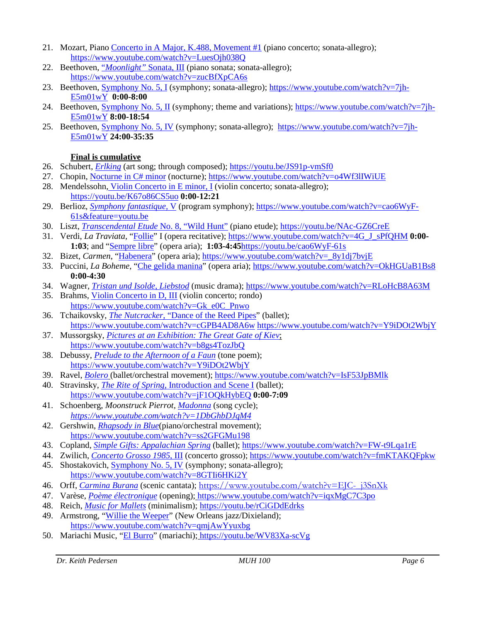- 21. Mozart, Piano [Concerto in A Major, K.488, Movement #1](https://youtu.be/LuesOjh038Q) (piano concerto; sonata-allegro); <https://www.youtube.com/watch?v=LuesOjh038Q>
- 22. Beethoven, "*[Moonlight"](https://www.youtube.com/watch?v=SrcOcKYQX3c)* Sonata, III (piano sonata; sonata-allegro); <https://www.youtube.com/watch?v=zucBfXpCA6s>
- 23. Beethoven, [Symphony No. 5, I](https://www.youtube.com/watch?v=7jh-E5m01wY) (symphony; sonata-allegro); [https://www.youtube.com/watch?v=7jh-](https://www.youtube.com/watch?v=7jh-E5m01wY)[E5m01wY](https://www.youtube.com/watch?v=7jh-E5m01wY) **0:00-8:00**
- 24. Beethoven, [Symphony No. 5, II](https://www.youtube.com/watch?v=7jh-E5m01wY) (symphony; theme and variations); [https://www.youtube.com/watch?v=7jh-](https://www.youtube.com/watch?v=7jh-E5m01wY)[E5m01wY](https://www.youtube.com/watch?v=7jh-E5m01wY) **8:00-18:54**
- 25. Beethoven, [Symphony No. 5, IV](https://www.youtube.com/watch?v=7jh-E5m01wY) (symphony; sonata-allegro); [https://www.youtube.com/watch?v=7jh-](https://www.youtube.com/watch?v=7jh-E5m01wY)[E5m01wY](https://www.youtube.com/watch?v=7jh-E5m01wY) **24:00-35:35**

# **Final is cumulative**

- 26. Schubert, *[Erlking](https://youtu.be/JS91p-vmSf0)* (art song; through composed); <https://youtu.be/JS91p-vmSf0>
- 27. Chopin, [Nocturne in C# minor](https://www.youtube.com/watch?v=o4Wf3lIWiUE) (nocturne); <https://www.youtube.com/watch?v=o4Wf3lIWiUE>
- 28. Mendelssohn, [Violin Concerto in E minor, I](https://youtu.be/K67o86CS5uo) (violin concerto; sonata-allegro); <https://youtu.be/K67o86CS5uo> **0:00-12:21**
- 29. Berlioz, *[Symphony fantastique,](https://youtu.be/cao6WyF-61s)* V (program symphony); [https://www.youtube.com/watch?v=cao6WyF-](https://www.youtube.com/watch?v=cao6WyF-61s&feature=youtu.be)[61s&feature=youtu.be](https://www.youtube.com/watch?v=cao6WyF-61s&feature=youtu.be)
- 30. Liszt, *[Transcendental Etude](https://youtu.be/NAc-GZ6CreE)* No. 8, "Wild Hunt" (piano etude); <https://youtu.be/NAc-GZ6CreE>
- 31. Verdi, *La Traviata,* ["Follie"](https://www.youtube.com/watch?v=4G_J_sPfQHM) I (opera recitative); [https://www.youtube.com/watch?v=4G\\_J\\_sPfQHM](https://www.youtube.com/watch?v=4G_J_sPfQHM) **0:00- 1:03**; and ["Sempre](https://www.youtube.com/watch?v=4G_J_sPfQHM) libre" (opera aria); **1:03-4:45**<https://youtu.be/cao6WyF-61s>
- 32. Bizet, *Carmen*, "*Habenera*" (opera aria); [https://www.youtube.com/watch?v=\\_8y1dj7bvjE](https://www.youtube.com/watch?v=_8y1dj7bvjE)
- 33. Puccini, *La Boheme*, "Che [gelida manina"](https://www.youtube.com/watch?v=OkHGUaB1Bs8) (opera aria); <https://www.youtube.com/watch?v=OkHGUaB1Bs8> **0:00-4:30**
- 34. Wagner, *[Tristan und Isolde, Liebstod](https://www.youtube.com/watch?v=RLoHcB8A63M)* (music drama); <https://www.youtube.com/watch?v=RLoHcB8A63M>
- 35. Brahms, [Violin Concerto in D, III](https://www.youtube.com/watch?v=Gk_e0C_Pnwo) (violin concerto; rondo) [https://www.youtube.com/watch?v=Gk\\_e0C\\_Pnwo](https://www.youtube.com/watch?v=Gk_e0C_Pnwo)
- 36. Tchaikovsky, *[The Nutcracker](https://www.youtube.com/watch?v=cGPB4AD8A6w)*, "Dance of the Reed Pipes" (ballet); <https://www.youtube.com/watch?v=cGPB4AD8A6w> <https://www.youtube.com/watch?v=Y9iDOt2WbjY>
- 37. Mussorgsky, *[Pictures at an Exhibition: The](file://socrates/users/kpederse/DATA/MY%20DOCUMENTS/PLNU/INTRO%20TO%20MUSIC/SYLLABI/Pictures%20at%20an%20Exhibition:%20The%20Great%20Gate%20of%20Kiev;%20https:/www.youtube.com/watch?v=b8gs4TozJbQ) Great Gate of Kiev*; [https://www.youtube.com/watch?v=b8gs4TozJbQ](file://socrates/users/kpederse/DATA/MY%20DOCUMENTS/PLNU/INTRO%20TO%20MUSIC/SYLLABI/Pictures%20at%20an%20Exhibition:%20The%20Great%20Gate%20of%20Kiev;%20https:/www.youtube.com/watch?v=b8gs4TozJbQ)
- 38. Debussy, *[Prelude to the Afternoon of a Faun](https://www.youtube.com/watch?v=Y9iDOt2WbjY)* (tone poem); <https://www.youtube.com/watch?v=Y9iDOt2WbjY>
- 39. Ravel, *[Bolero](https://www.youtube.com/watch?v=IsF53JpBMlk)* (ballet/orchestral movement); <https://www.youtube.com/watch?v=IsF53JpBMlk>
- 40. Stravinsky, *The Rite of Spring,* [Introduction and Scene I](https://www.youtube.com/watch?v=jF1OQkHybEQ) (ballet); <https://www.youtube.com/watch?v=jF1OQkHybEQ> **0:00-7:09**
- 41. Schoenberg, *Moonstruck Pierrot, [Madonna](https://www.youtube.com/watch?v=1DbGhbDJqM4)* (song cycle); *<https://www.youtube.com/watch?v=1DbGhbDJqM4>*
- 42. Gershwin, *[Rhapsody in Blue](https://www.youtube.com/watch?v=ss2GFGMu198)*(piano/orchestral movement); <https://www.youtube.com/watch?v=ss2GFGMu198>
- 43. Copland, *[Simple Gifts: Appalachian Spring](https://www.youtube.com/watch?v=FW-t9Lqa1rE)* (ballet); <https://www.youtube.com/watch?v=FW-t9Lqa1rE>
- 44. Zwilich, *[Concerto Grosso 1985,](https://www.youtube.com/watch?v=fmKTAKQFpkw)* III (concerto grosso); <https://www.youtube.com/watch?v=fmKTAKQFpkw>
- 45. Shostakovich, **Symphony No. 5, IV** (symphony; sonata-allegro); <https://www.youtube.com/watch?v=8GTIi6HKi2Y>
- 46. Orff, *[Carmina Burana](https://www.youtube.com/watch?v=EJC-_j3SnXk)* (scenic cantata); [https://www.youtube.com/watch?v=EJC-\\_j3SnXk](https://www.youtube.com/watch?v=EJC-_j3SnXk)
- 47. Varèse, *[Poème électronique](https://www.youtube.com/watch?v=iqxMgC7C3po)* (opening); <https://www.youtube.com/watch?v=iqxMgC7C3po>
- 48. Reich, *[Music for Mallets](https://youtu.be/rCiGDdEdrks)* (minimalism); <https://youtu.be/rCiGDdEdrks>
- 49. Armstrong, ["Willie the Weeper"](https://www.youtube.com/watch?v=qmjAwYyuxbg) (New Orleans jazz/Dixieland); <https://www.youtube.com/watch?v=qmjAwYyuxbg>
- 50. Mariachi Music, ["El Burro"](https://youtu.be/WV83Xa-scVg) (mariachi); <https://youtu.be/WV83Xa-scVg>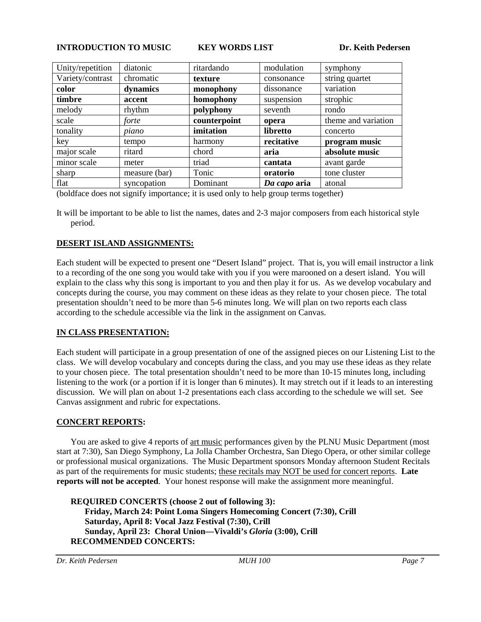#### **INTRODUCTION TO MUSIC <b>KEY WORDS LIST Dr. Keith Pedersen**

| Unity/repetition | diatonic      | ritardando   | modulation   | symphony            |  |
|------------------|---------------|--------------|--------------|---------------------|--|
| Variety/contrast | chromatic     | texture      | consonance   | string quartet      |  |
| color            | dynamics      | monophony    | dissonance   | variation           |  |
| timbre           | accent        | homophony    | suspension   | strophic            |  |
| melody           | rhythm        | polyphony    | seventh      | rondo               |  |
| scale            | forte         | counterpoint | opera        | theme and variation |  |
| tonality         | piano         | imitation    | libretto     | concerto            |  |
| key              | tempo         | harmony      | recitative   | program music       |  |
| major scale      | ritard        | chord        | aria         | absolute music      |  |
| minor scale      | meter         | triad        | cantata      | avant garde         |  |
| sharp            | measure (bar) | Tonic        | oratorio     | tone cluster        |  |
| flat             | syncopation   | Dominant     | Da capo aria | atonal              |  |

(boldface does not signify importance; it is used only to help group terms together)

It will be important to be able to list the names, dates and 2-3 major composers from each historical style period.

#### **DESERT ISLAND ASSIGNMENTS:**

Each student will be expected to present one "Desert Island" project. That is, you will email instructor a link to a recording of the one song you would take with you if you were marooned on a desert island. You will explain to the class why this song is important to you and then play it for us. As we develop vocabulary and concepts during the course, you may comment on these ideas as they relate to your chosen piece. The total presentation shouldn't need to be more than 5-6 minutes long. We will plan on two reports each class according to the schedule accessible via the link in the assignment on Canvas.

#### **IN CLASS PRESENTATION:**

Each student will participate in a group presentation of one of the assigned pieces on our Listening List to the class. We will develop vocabulary and concepts during the class, and you may use these ideas as they relate to your chosen piece. The total presentation shouldn't need to be more than 10-15 minutes long, including listening to the work (or a portion if it is longer than 6 minutes). It may stretch out if it leads to an interesting discussion. We will plan on about 1-2 presentations each class according to the schedule we will set. See Canvas assignment and rubric for expectations.

#### **CONCERT REPORTS:**

You are asked to give 4 reports of art music performances given by the PLNU Music Department (most start at 7:30), San Diego Symphony, La Jolla Chamber Orchestra, San Diego Opera, or other similar college or professional musical organizations. The Music Department sponsors Monday afternoon Student Recitals as part of the requirements for music students; these recitals may NOT be used for concert reports. **Late reports will not be accepted**. Your honest response will make the assignment more meaningful.

```
REQUIRED CONCERTS (choose 2 out of following 3):
   Friday, March 24: Point Loma Singers Homecoming Concert (7:30), Crill
   Saturday, April 8: Vocal Jazz Festival (7:30), Crill
   Sunday, April 23: Choral Union—Vivaldi's Gloria (3:00), Crill
RECOMMENDED CONCERTS:
```
*Dr. Keith Pedersen MUH 100 Page 7*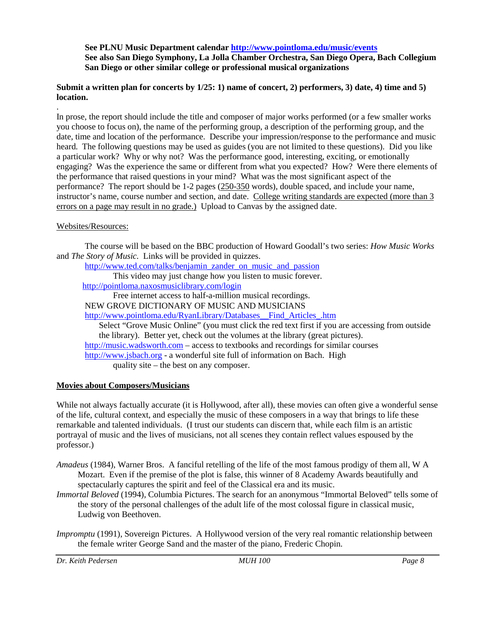#### **See PLNU Music Department calendar<http://www.pointloma.edu/music/events> See also San Diego Symphony, La Jolla Chamber Orchestra, San Diego Opera, Bach Collegium San Diego or other similar college or professional musical organizations**

#### **Submit a written plan for concerts by 1/25: 1) name of concert, 2) performers, 3) date, 4) time and 5) location.**

. In prose, the report should include the title and composer of major works performed (or a few smaller works you choose to focus on), the name of the performing group, a description of the performing group, and the date, time and location of the performance. Describe your impression/response to the performance and music heard. The following questions may be used as guides (you are not limited to these questions). Did you like a particular work? Why or why not? Was the performance good, interesting, exciting, or emotionally engaging? Was the experience the same or different from what you expected? How? Were there elements of the performance that raised questions in your mind? What was the most significant aspect of the performance? The report should be 1-2 pages (250-350 words), double spaced, and include your name, instructor's name, course number and section, and date. College writing standards are expected (more than 3 errors on a page may result in no grade.) Upload to Canvas by the assigned date.

#### Websites/Resources:

The course will be based on the BBC production of Howard Goodall's two series: *How Music Works* and *The Story of Music.* Links will be provided in quizzes.

[http://www.ted.com/talks/benjamin\\_zander\\_on\\_music\\_and\\_passion](http://www.ted.com/talks/benjamin_zander_on_music_and_passion)

This video may just change how you listen to music forever.

<http://pointloma.naxosmusiclibrary.com/login>

Free internet access to half-a-million musical recordings.

NEW GROVE DICTIONARY OF MUSIC AND MUSICIANS

[http://www.pointloma.edu/RyanLibrary/Databases\\_\\_Find\\_Articles\\_.htm](http://www.pointloma.edu/RyanLibrary/Databases__Find_Articles_.htm)

Select "Grove Music Online" (you must click the red text first if you are accessing from outside the library). Better yet, check out the volumes at the library (great pictures). [http://music.wadsworth.com](http://music.wadsworth.com/) – access to textbooks and recordings for similar courses

[http://www.jsbach.org](http://www.jsbach.org/) - a wonderful site full of information on Bach. High

quality site – the best on any composer.

#### **Movies about Composers/Musicians**

While not always factually accurate (it is Hollywood, after all), these movies can often give a wonderful sense of the life, cultural context, and especially the music of these composers in a way that brings to life these remarkable and talented individuals. (I trust our students can discern that, while each film is an artistic portrayal of music and the lives of musicians, not all scenes they contain reflect values espoused by the professor.)

- *Amadeus* (1984), Warner Bros. A fanciful retelling of the life of the most famous prodigy of them all, W A Mozart. Even if the premise of the plot is false, this winner of 8 Academy Awards beautifully and spectacularly captures the spirit and feel of the Classical era and its music.
- *Immortal Beloved* (1994), Columbia Pictures. The search for an anonymous "Immortal Beloved" tells some of the story of the personal challenges of the adult life of the most colossal figure in classical music, Ludwig von Beethoven.
- *Impromptu* (1991), Sovereign Pictures. A Hollywood version of the very real romantic relationship between the female writer George Sand and the master of the piano, Frederic Chopin.